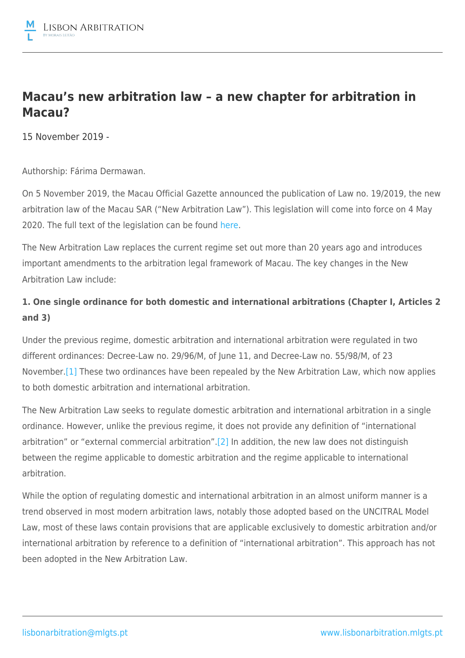

# **Macau's new arbitration law – a new chapter for arbitration in Macau?**

15 November 2019 -

Authorship: Fárima Dermawan.

On 5 November 2019, the Macau Official Gazette announced the publication of Law no. 19/2019, the new arbitration law of the Macau SAR ("New Arbitration Law"). This legislation will come into force on 4 May 2020. The full text of the legislation can be found [here](https://images.io.gov.mo/bo/i/2019/44/lei-19-2019.pdf).

The New Arbitration Law replaces the current regime set out more than 20 years ago and introduces important amendments to the arbitration legal framework of Macau. The key changes in the New Arbitration Law include:

## **1. One single ordinance for both domestic and international arbitrations (Chapter I, Articles 2 and 3)**

Under the previous regime, domestic arbitration and international arbitration were regulated in two different ordinances: Decree-Law no. 29/96/M, of June 11, and Decree-Law no. 55/98/M, of 23 November.<sup>[1]</sup> These two ordinances have been repealed by the New Arbitration Law, which now applies to both domestic arbitration and international arbitration.

The New Arbitration Law seeks to regulate domestic arbitration and international arbitration in a single ordinance. However, unlike the previous regime, it does not provide any definition of "international arbitration" or "external commercial arbitration"[.\[2\]](file:///C:/Users/NMF/AppData/Local/Microsoft/Windows/INetCache/Content.Outlook/BBTAX174/MLGTS_LAWC-#4002056-v1-MLGTS_LAWC-#3999224-v1-MdME-#491277-v1-Legal Alert - New Arbitration Law (EN).DOCX#_ftn2) In addition, the new law does not distinguish between the regime applicable to domestic arbitration and the regime applicable to international arbitration.

While the option of regulating domestic and international arbitration in an almost uniform manner is a trend observed in most modern arbitration laws, notably those adopted based on the UNCITRAL Model Law, most of these laws contain provisions that are applicable exclusively to domestic arbitration and/or international arbitration by reference to a definition of "international arbitration". This approach has not been adopted in the New Arbitration Law.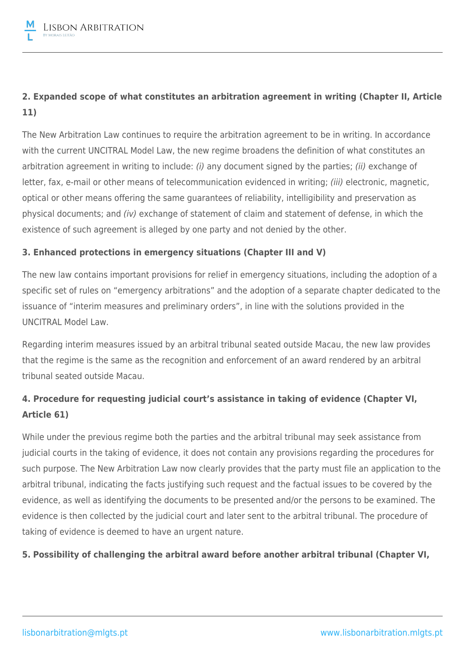## **2. Expanded scope of what constitutes an arbitration agreement in writing (Chapter II, Article 11)**

The New Arbitration Law continues to require the arbitration agreement to be in writing. In accordance with the current UNCITRAL Model Law, the new regime broadens the definition of what constitutes an arbitration agreement in writing to include: (i) any document signed by the parties; (ii) exchange of letter, fax, e-mail or other means of telecommunication evidenced in writing; *(iii)* electronic, magnetic, optical or other means offering the same guarantees of reliability, intelligibility and preservation as physical documents; and (iv) exchange of statement of claim and statement of defense, in which the existence of such agreement is alleged by one party and not denied by the other.

### **3. Enhanced protections in emergency situations (Chapter III and V)**

The new law contains important provisions for relief in emergency situations, including the adoption of a specific set of rules on "emergency arbitrations" and the adoption of a separate chapter dedicated to the issuance of "interim measures and preliminary orders", in line with the solutions provided in the UNCITRAL Model Law.

Regarding interim measures issued by an arbitral tribunal seated outside Macau, the new law provides that the regime is the same as the recognition and enforcement of an award rendered by an arbitral tribunal seated outside Macau.

## **4. Procedure for requesting judicial court's assistance in taking of evidence (Chapter VI, Article 61)**

While under the previous regime both the parties and the arbitral tribunal may seek assistance from judicial courts in the taking of evidence, it does not contain any provisions regarding the procedures for such purpose. The New Arbitration Law now clearly provides that the party must file an application to the arbitral tribunal, indicating the facts justifying such request and the factual issues to be covered by the evidence, as well as identifying the documents to be presented and/or the persons to be examined. The evidence is then collected by the judicial court and later sent to the arbitral tribunal. The procedure of taking of evidence is deemed to have an urgent nature.

### **5. Possibility of challenging the arbitral award before another arbitral tribunal (Chapter VI,**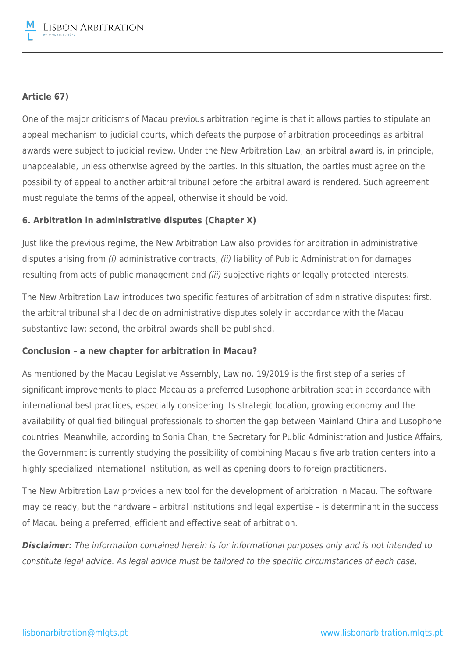### **Article 67)**

One of the major criticisms of Macau previous arbitration regime is that it allows parties to stipulate an appeal mechanism to judicial courts, which defeats the purpose of arbitration proceedings as arbitral awards were subject to judicial review. Under the New Arbitration Law, an arbitral award is, in principle, unappealable, unless otherwise agreed by the parties. In this situation, the parties must agree on the possibility of appeal to another arbitral tribunal before the arbitral award is rendered. Such agreement must regulate the terms of the appeal, otherwise it should be void.

### **6. Arbitration in administrative disputes (Chapter X)**

Just like the previous regime, the New Arbitration Law also provides for arbitration in administrative disputes arising from (i) administrative contracts, (ii) liability of Public Administration for damages resulting from acts of public management and *(iii)* subjective rights or legally protected interests.

The New Arbitration Law introduces two specific features of arbitration of administrative disputes: first, the arbitral tribunal shall decide on administrative disputes solely in accordance with the Macau substantive law; second, the arbitral awards shall be published.

### **Conclusion – a new chapter for arbitration in Macau?**

As mentioned by the Macau Legislative Assembly, Law no. 19/2019 is the first step of a series of significant improvements to place Macau as a preferred Lusophone arbitration seat in accordance with international best practices, especially considering its strategic location, growing economy and the availability of qualified bilingual professionals to shorten the gap between Mainland China and Lusophone countries. Meanwhile, according to Sonia Chan, the Secretary for Public Administration and Justice Affairs, the Government is currently studying the possibility of combining Macau's five arbitration centers into a highly specialized international institution, as well as opening doors to foreign practitioners.

The New Arbitration Law provides a new tool for the development of arbitration in Macau. The software may be ready, but the hardware – arbitral institutions and legal expertise – is determinant in the success of Macau being a preferred, efficient and effective seat of arbitration.

*Disclaimer:* The information contained herein is for informational purposes only and is not intended to constitute legal advice. As legal advice must be tailored to the specific circumstances of each case,